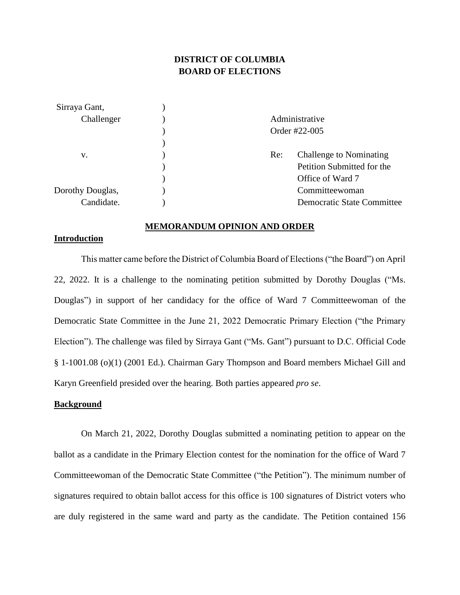# **DISTRICT OF COLUMBIA BOARD OF ELECTIONS**

| Sirraya Gant,    |               |                                   |  |
|------------------|---------------|-----------------------------------|--|
| Challenger       |               | Administrative                    |  |
|                  | Order #22-005 |                                   |  |
|                  |               |                                   |  |
| v.               | Re:           | <b>Challenge to Nominating</b>    |  |
|                  |               | Petition Submitted for the        |  |
|                  |               | Office of Ward 7                  |  |
| Dorothy Douglas, |               | Committeewoman                    |  |
| Candidate.       |               | <b>Democratic State Committee</b> |  |

#### **MEMORANDUM OPINION AND ORDER**

## **Introduction**

This matter came before the District of Columbia Board of Elections ("the Board") on April 22, 2022. It is a challenge to the nominating petition submitted by Dorothy Douglas ("Ms. Douglas") in support of her candidacy for the office of Ward 7 Committeewoman of the Democratic State Committee in the June 21, 2022 Democratic Primary Election ("the Primary Election"). The challenge was filed by Sirraya Gant ("Ms. Gant") pursuant to D.C. Official Code § 1-1001.08 (o)(1) (2001 Ed.). Chairman Gary Thompson and Board members Michael Gill and Karyn Greenfield presided over the hearing. Both parties appeared *pro se*.

## **Background**

On March 21, 2022, Dorothy Douglas submitted a nominating petition to appear on the ballot as a candidate in the Primary Election contest for the nomination for the office of Ward 7 Committeewoman of the Democratic State Committee ("the Petition"). The minimum number of signatures required to obtain ballot access for this office is 100 signatures of District voters who are duly registered in the same ward and party as the candidate. The Petition contained 156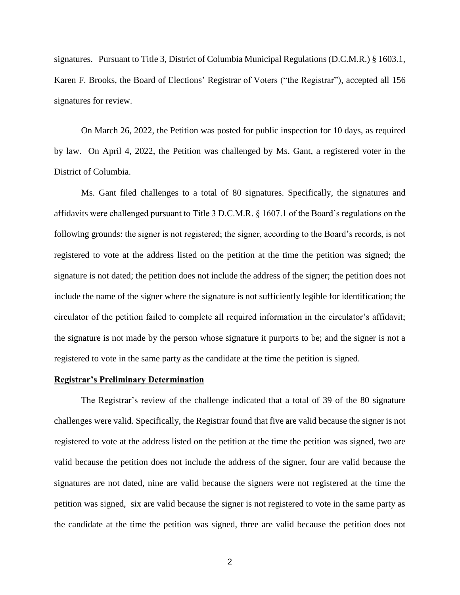signatures. Pursuant to Title 3, District of Columbia Municipal Regulations (D.C.M.R.) § 1603.1, Karen F. Brooks, the Board of Elections' Registrar of Voters ("the Registrar"), accepted all 156 signatures for review.

On March 26, 2022, the Petition was posted for public inspection for 10 days, as required by law. On April 4, 2022, the Petition was challenged by Ms. Gant, a registered voter in the District of Columbia.

Ms. Gant filed challenges to a total of 80 signatures. Specifically, the signatures and affidavits were challenged pursuant to Title 3 D.C.M.R. § 1607.1 of the Board's regulations on the following grounds: the signer is not registered; the signer, according to the Board's records, is not registered to vote at the address listed on the petition at the time the petition was signed; the signature is not dated; the petition does not include the address of the signer; the petition does not include the name of the signer where the signature is not sufficiently legible for identification; the circulator of the petition failed to complete all required information in the circulator's affidavit; the signature is not made by the person whose signature it purports to be; and the signer is not a registered to vote in the same party as the candidate at the time the petition is signed.

### **Registrar's Preliminary Determination**

The Registrar's review of the challenge indicated that a total of 39 of the 80 signature challenges were valid. Specifically, the Registrar found that five are valid because the signer is not registered to vote at the address listed on the petition at the time the petition was signed, two are valid because the petition does not include the address of the signer, four are valid because the signatures are not dated, nine are valid because the signers were not registered at the time the petition was signed, six are valid because the signer is not registered to vote in the same party as the candidate at the time the petition was signed, three are valid because the petition does not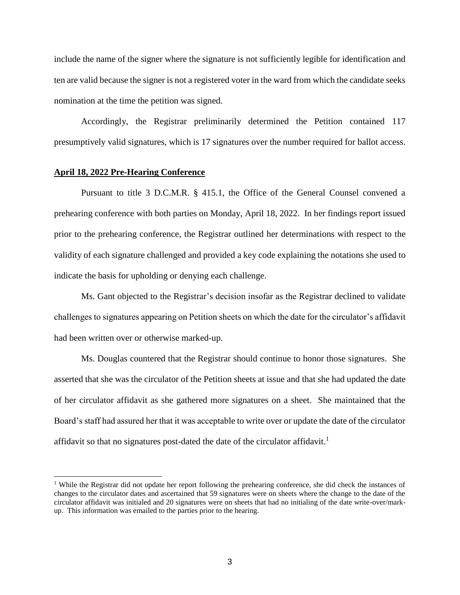include the name of the signer where the signature is not sufficiently legible for identification and ten are valid because the signer is not a registered voter in the ward from which the candidate seeks nomination at the time the petition was signed.

Accordingly, the Registrar preliminarily determined the Petition contained 117 presumptively valid signatures, which is 17 signatures over the number required for ballot access.

## **April 18, 2022 Pre-Hearing Conference**

Pursuant to title 3 D.C.M.R. § 415.1, the Office of the General Counsel convened a prehearing conference with both parties on Monday, April 18, 2022. In her findings report issued prior to the prehearing conference, the Registrar outlined her determinations with respect to the validity of each signature challenged and provided a key code explaining the notations she used to indicate the basis for upholding or denying each challenge.

Ms. Gant objected to the Registrar's decision insofar as the Registrar declined to validate challenges to signatures appearing on Petition sheets on which the date for the circulator's affidavit had been written over or otherwise marked-up.

Ms. Douglas countered that the Registrar should continue to honor those signatures. She asserted that she was the circulator of the Petition sheets at issue and that she had updated the date of her circulator affidavit as she gathered more signatures on a sheet. She maintained that the Board's staff had assured her that it was acceptable to write over or update the date of the circulator affidavit so that no signatures post-dated the date of the circulator affidavit.<sup>1</sup>

<sup>&</sup>lt;sup>1</sup> While the Registrar did not update her report following the prehearing conference, she did check the instances of changes to the circulator dates and ascertained that 59 signatures were on sheets where the change to the date of the circulator affidavit was initialed and 20 signatures were on sheets that had no initialing of the date write-over/markup. This information was emailed to the parties prior to the hearing.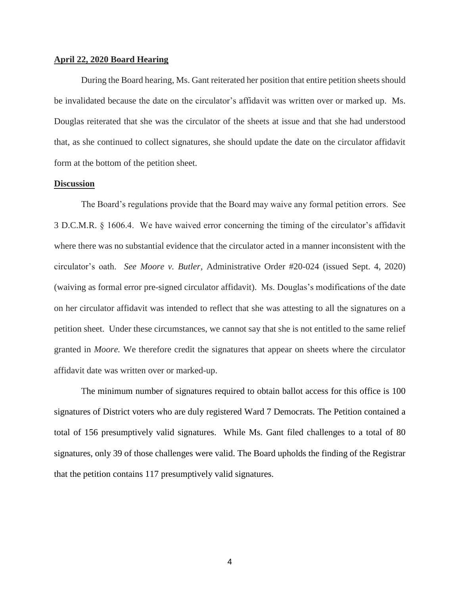#### **April 22, 2020 Board Hearing**

During the Board hearing, Ms. Gant reiterated her position that entire petition sheets should be invalidated because the date on the circulator's affidavit was written over or marked up. Ms. Douglas reiterated that she was the circulator of the sheets at issue and that she had understood that, as she continued to collect signatures, she should update the date on the circulator affidavit form at the bottom of the petition sheet.

## **Discussion**

The Board's regulations provide that the Board may waive any formal petition errors. See 3 D.C.M.R. § 1606.4. We have waived error concerning the timing of the circulator's affidavit where there was no substantial evidence that the circulator acted in a manner inconsistent with the circulator's oath. *See Moore v. Butler*, Administrative Order #20-024 (issued Sept. 4, 2020) (waiving as formal error pre-signed circulator affidavit). Ms. Douglas's modifications of the date on her circulator affidavit was intended to reflect that she was attesting to all the signatures on a petition sheet. Under these circumstances, we cannot say that she is not entitled to the same relief granted in *Moore.* We therefore credit the signatures that appear on sheets where the circulator affidavit date was written over or marked-up.

The minimum number of signatures required to obtain ballot access for this office is 100 signatures of District voters who are duly registered Ward 7 Democrats. The Petition contained a total of 156 presumptively valid signatures. While Ms. Gant filed challenges to a total of 80 signatures, only 39 of those challenges were valid. The Board upholds the finding of the Registrar that the petition contains 117 presumptively valid signatures.